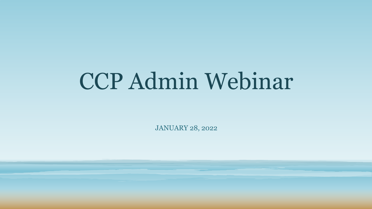# CCP Admin Webinar

JANUARY 28, 2022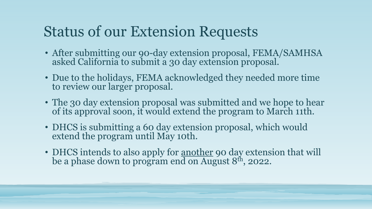## Status of our Extension Requests

- After submitting our 90-day extension proposal, FEMA/SAMHSA asked California to submit a 30 day extension proposal.
- Due to the holidays, FEMA acknowledged they needed more time to review our larger proposal.
- The 30 day extension proposal was submitted and we hope to hear of its approval soon, it would extend the program to March 11th.
- DHCS is submitting a 60 day extension proposal, which would extend the program until May 10th.
- DHCS intends to also apply for <u>another</u> 90 day extension that will be a phase down to program end on August 8<sup>th</sup>, 2022.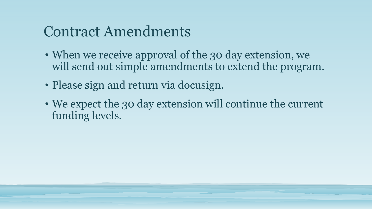### Contract Amendments

- When we receive approval of the 30 day extension, we will send out simple amendments to extend the program.
- Please sign and return via docusign.
- We expect the 30 day extension will continue the current funding levels.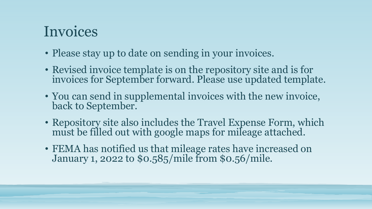## Invoices

- Please stay up to date on sending in your invoices.
- Revised invoice template is on the repository site and is for invoices for September forward. Please use updated template.
- You can send in supplemental invoices with the new invoice, back to September.
- Repository site also includes the Travel Expense Form, which must be filled out with google maps for mileage attached.
- FEMA has notified us that mileage rates have increased on January 1, 2022 to \$0.585/mile from \$0.56/mile.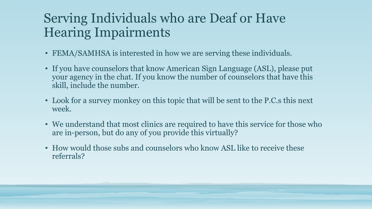#### Serving Individuals who are Deaf or Have Hearing Impairments

- FEMA/SAMHSA is interested in how we are serving these individuals.
- If you have counselors that know American Sign Language (ASL), please put your agency in the chat. If you know the number of counselors that have this skill, include the number.
- Look for a survey monkey on this topic that will be sent to the P.C.s this next week.
- We understand that most clinics are required to have this service for those who are in-person, but do any of you provide this virtually?
- How would those subs and counselors who know ASL like to receive these referrals?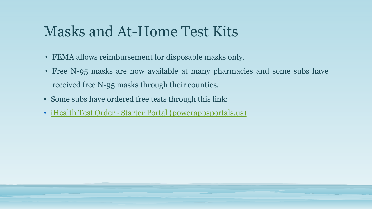## Masks and At-Home Test Kits

- FEMA allows reimbursement for disposable masks only.
- Free N-95 masks are now available at many pharmacies and some subs have received free N-95 masks through their counties.
- Some subs have ordered free tests through this link:
- iHealth Test Order [· Starter Portal \(powerappsportals.us\)](https://urldefense.proofpoint.com/v2/url?u=https-3A__labsupport.powerappsportals.us_ihealthorder_&d=DwMFAw&c=euGZstcaTDllvimEN8b7jXrwqOf-v5A_CdpgnVfiiMM&r=KQFHuL88IxIQJJLP1UuU71aWOLV3MaFREQ_1Y3vIuYE&m=v8_jOsQ1aOiJdsAKtJ_3id_DawV0E1n-0vS9RcqoCDI&s=5qoaIyUTC2nG31p3dpRaQgAAAxv6dmGGoBbt7C1K3Uc&e=)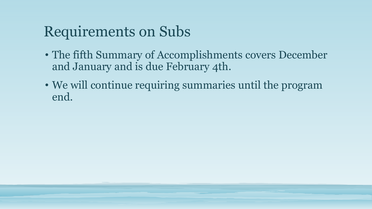## Requirements on Subs

- The fifth Summary of Accomplishments covers December and January and is due February 4th.
- We will continue requiring summaries until the program end.